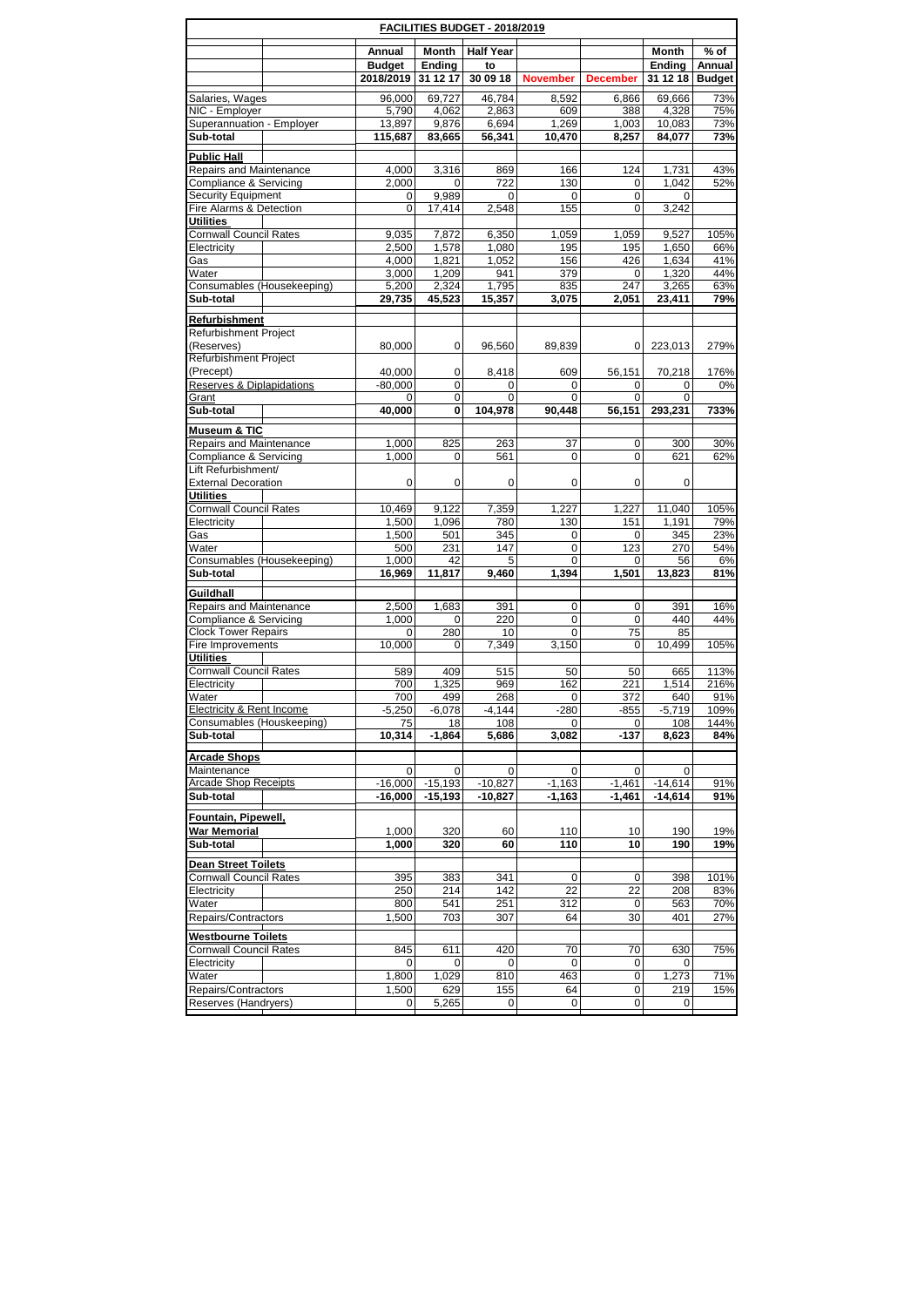|                                                             |  |                |                  | FACILITIES BUDGET - 2018/2019 |                      |                 |                |               |
|-------------------------------------------------------------|--|----------------|------------------|-------------------------------|----------------------|-----------------|----------------|---------------|
|                                                             |  | Annual         | Month            | <b>Half Year</b>              |                      |                 | Month          | % of          |
|                                                             |  | <b>Budget</b>  | Ending           | to                            |                      |                 | Ending         | Annual        |
|                                                             |  | 2018/2019      | 31 12 17         | 30 09 18                      | <b>November</b>      | <b>December</b> | 31 12 18       | <b>Budget</b> |
| Salaries, Wages                                             |  | 96,000         | 69,727           | 46,784                        | 8,592                | 6,866           | 69,666         | 73%           |
| NIC - Employer                                              |  | 5,790          | 4,062            | 2,863                         | 609                  | 388             | 4,328          | 75%           |
| Superannuation - Employer                                   |  | 13,897         | 9,876            | 6,694                         | 1.269                | 1,003           | 10,083         | 73%           |
| Sub-total                                                   |  | 115,687        | 83,665           | 56,341                        | 10,470               | 8,257           | 84,077         | 73%           |
| <b>Public Hall</b>                                          |  |                |                  |                               |                      |                 |                |               |
| Repairs and Maintenance<br>Compliance & Servicing           |  | 4,000          | 3,316            | 869                           | 166                  | 124             | 1,731          | 43%           |
| <b>Security Equipment</b>                                   |  | 2,000<br>0     | 0<br>9,989       | 722<br>0                      | 130<br>0             | 0<br>0          | 1,042<br>0     | 52%           |
| Fire Alarms & Detection                                     |  | 0              | 17.414           | 2,548                         | 155                  | 0               | 3,242          |               |
| <b>Utilities</b>                                            |  |                |                  |                               |                      |                 |                |               |
| <b>Cornwall Council Rates</b>                               |  | 9,035          | 7,872            | 6,350                         | 1,059                | 1,059           | 9,527          | 105%          |
| Electricity                                                 |  | 2,500          | 1,578            | 1,080                         | 195                  | 195             | 1,650          | 66%           |
| Gas<br>Water                                                |  | 4,000<br>3,000 | 1,821<br>1,209   | 1,052<br>941                  | 156<br>379           | 426<br>0        | 1,634<br>1,320 | 41%<br>44%    |
| Consumables (Housekeeping)                                  |  | 5,200          | 2,324            | 1,795                         | 835                  | 247             | 3,265          | 63%           |
| Sub-total                                                   |  | 29,735         | 45,523           | 15,357                        | 3,075                | 2,051           | 23,411         | 79%           |
| Refurbishment                                               |  |                |                  |                               |                      |                 |                |               |
| <b>Refurbishment Project</b>                                |  |                |                  |                               |                      |                 |                |               |
| (Reserves)                                                  |  | 80,000         | 0                | 96,560                        | 89,839               | 0               | 223,013        | 279%          |
| Refurbishment Project                                       |  |                |                  |                               |                      |                 |                |               |
| (Precept)                                                   |  | 40,000         | 0                | 8,418                         | 609                  | 56,151          | 70,218         | 176%          |
| Reserves & Diplapidations<br>Grant                          |  | $-80,000$<br>0 | $\mathbf 0$<br>0 | 0<br>0                        | 0<br>0               | 0<br>0          | 0<br>0         | 0%            |
| Sub-total                                                   |  | 40,000         | 0                | 104,978                       | 90,448               | 56,151          | 293,231        | 733%          |
|                                                             |  |                |                  |                               |                      |                 |                |               |
| Museum & TIC<br>Repairs and Maintenance                     |  | 1,000          | 825              | 263                           | 37                   | 0               | 300            | 30%           |
| Compliance & Servicing                                      |  | 1,000          | 0                | 561                           | 0                    | 0               | 621            | 62%           |
| Lift Refurbishment/                                         |  |                |                  |                               |                      |                 |                |               |
| <b>External Decoration</b>                                  |  | 0              | 0                | 0                             | 0                    | 0               | $\mathbf 0$    |               |
| <b>Utilities</b>                                            |  |                |                  |                               |                      |                 |                |               |
| <b>Cornwall Council Rates</b>                               |  | 10,469         | 9,122            | 7,359                         | 1,227                | 1,227           | 11,040         | 105%<br>79%   |
| Electricity<br>Gas                                          |  | 1,500<br>1,500 | 1,096<br>501     | 780<br>345                    | 130<br>0             | 151<br>0        | 1,191<br>345   | 23%           |
| Water                                                       |  | 500            | 231              | 147                           | 0                    | 123             | 270            | 54%           |
| Consumables (Housekeeping)                                  |  | 1,000          | 42               | 5                             | $\Omega$             | 0               | 56             | 6%            |
| Sub-total                                                   |  | 16,969         | 11,817           | 9,460                         | 1,394                | 1,501           | 13,823         | 81%           |
| Guildhall                                                   |  |                |                  |                               |                      |                 |                |               |
| Repairs and Maintenance                                     |  | 2,500          | 1,683            | 391                           | 0                    | 0               | 391            | 16%           |
| Compliance & Servicing                                      |  | 1,000          | 0                | 220                           | 0                    | 0               | 440            | 44%           |
| <b>Clock Tower Repairs</b><br>Fire Improvements             |  | 0<br>10,000    | 280<br>0         | 10<br>7,349                   | 0<br>3,150           | 75<br>0         | 85<br>10.499   | 105%          |
| <b>Utilities</b>                                            |  |                |                  |                               |                      |                 |                |               |
| <b>Cornwall Council Rates</b>                               |  | 589            | 409              | 515                           | 50                   | 50              | 665            | 113%          |
| Electricity                                                 |  | 700            | 1,325            | 969                           | 162                  | 221             | 1,514          | 216%          |
| Water                                                       |  | 700            | 499              | 268                           | 0                    | 372             | 640            | 91%           |
| Electricity & Rent Income                                   |  | $-5,250$       | $-6,078$         | $-4,144$                      | $-280$               | $-855$          | $-5,719$       | 109%          |
| Consumables (Houskeeping)<br>Sub-total                      |  | 75 <br>10,314  | 18<br>$-1,864$   | 108<br>5,686                  | 0<br>3,082           | 0<br>-137       | 108<br>8,623   | 144%<br>84%   |
|                                                             |  |                |                  |                               |                      |                 |                |               |
| <b>Arcade Shops</b>                                         |  |                |                  |                               |                      |                 |                |               |
| Maintenance<br><b>Arcade Shop Receipts</b>                  |  | 0<br>$-16,000$ | 0<br>$-15.193$   | $\mathbf 0$<br>$-10,827$      | 0                    | 0<br>$-1,461$   | 0<br>$-14,614$ | 91%           |
| Sub-total                                                   |  | $-16,000$      | $-15,193$        | $-10,827$                     | $-1,163$<br>$-1,163$ | $-1,461$        | $-14,614$      | 91%           |
|                                                             |  |                |                  |                               |                      |                 |                |               |
| Fountain, Pipewell,<br>War Memorial                         |  | 1,000          |                  |                               |                      |                 |                |               |
| Sub-total                                                   |  | 1,000          | 320<br>320       | 60<br>60                      | 110<br>110           | 10<br>10        | 190<br>190     | 19%<br>19%    |
|                                                             |  |                |                  |                               |                      |                 |                |               |
| <b>Dean Street Toilets</b><br><b>Cornwall Council Rates</b> |  | 395            |                  | 341                           | 0                    |                 |                | 101%          |
| Electricity                                                 |  | 250            | 383<br>214       | 142                           | 22                   | 0<br>22         | 398<br>208     | 83%           |
| Water                                                       |  | 800            | 541              | 251                           | 312                  | 0               | 563            | 70%           |
| Repairs/Contractors                                         |  | 1,500          | 703              | 307                           | 64                   | 30              | 401            | 27%           |
| <b>Westbourne Toilets</b>                                   |  |                |                  |                               |                      |                 |                |               |
| <b>Cornwall Council Rates</b>                               |  | 845            | 611              | 420                           | 70                   | 70              | 630            | 75%           |
| Electricity                                                 |  | 0              | 0                | $\overline{0}$                | 0                    | 0               | 0              |               |
| Water                                                       |  | 1,800          | 1,029            | 810                           | 463                  | 0               | 1,273          | 71%           |
| Repairs/Contractors                                         |  | 1,500          | 629              | 155                           | 64                   | 0               | 219            | 15%           |
| Reserves (Handryers)                                        |  | 0              | 5,265            | 0                             | 0                    | 0               | 0              |               |